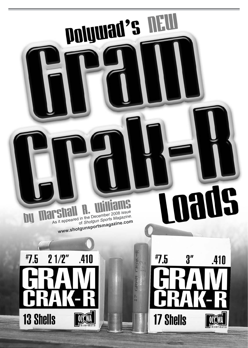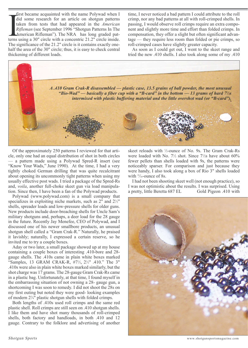first became acquainted with the name Polywad when I did some research for an article on shotgun patterns taken from tests that had appeared in the *American Rifleman* (see September 1996 "Shotgun Patterns In The American Rifleman"). The NRA has long graded patfirst became acquainted with the name Polywad when I<br>did some research for an article on shotgun patterns<br>taken from tests that had appeared in the American<br>Rifleman (see September 1996 "Shotgun Patterns In The<br>American Ri The significance of the 21.2" circle is it contains exactly onehalf the area of the 30" circle; thus, it is easy to check central thickening of different loads.

time, I never noticed a bad pattern I could attribute to the roll crimp, nor any bad patterns at all with roll-crimped shells. In passing, I would observe roll crimps require an extra component and slightly more time and effort than folded crimps. In compensation, they offer a slight but often significant advantage — they require less room than folded or pie crimps, so roll-crimped cases have slightly greater capacity.

As soon as I could get out, I went to the skeet range and tried the new .410 shells. I also took along some of my .410



Of the approximately 250 patterns I reviewed for that article, only one had an equal distribution of shot in both circles — a pattern made using a Polywad Spred-R insert (see "Know Your Wads," June 1990). At the time, I had a very tightly choked German drilling that was quite recalcitrant about opening its uncommonly tight patterns when using my usually effective post wads. I tried a package of the Spred-Rs and, *voila*, another full-choke skeet gun via load manipulation. Since then, I have been a fan of the Polywad products.

Polywad (www.polywad.com) is a small company that specializes in exploiting niche markets, such as  $2$ " and  $2\frac{1}{2}$ " shells, spreader loads and low-pressure shells for older guns. New products include door-breaching shells for Uncle Sam's military shotguns and, perhaps, a deer load for the 28 gauge in the future. Recently Jay Menefee, CEO of Polywad, and I discussed one of his newer smallbore products, an unusual shotgun shell called a "Gram Crak-R." Naturally, he praised it lavishly; naturally, I expressed a certain reserve, so he invited me to try a couple boxes.

Aday or two later, a small package showed up at my house containing a couple boxes of interesting .410-bore and 28 gauge shells. The .410s came in plain white boxes marked "Samples, 13 GRAM CRAK-R, #7<sup>1</sup> ∕2, 2<sup>1</sup> ∕2" .410." The 3" .410s were also in plain white boxes marked similarly, but the shot charge was 17 grams. The 28-gauge Gram Crak-Rs came in a plastic bag. Unfortunately, at that time, I found myself in the embarrassing situation of not owning a 28- gauge gun, a shortcoming I was soon to remedy. I did not shoot the 28s on my first outing but noted they were good- looking examples of modern  $2\frac{3}{4}$ " plastic shotgun shells with folded crimps.

Both lengths of .410s used roll crimps and the same red plastic shell. Roll crimps are still seen on .410 shotgun shells. I like them and have shot many thousands of roll-crimped shells, both factory and handloads, in both .410 and 12 gauge. Contrary to the folklore and advertising of another

skeet reloads with ½-ounce of No. 9s. The Gram Crak-Rs were loaded with No.  $7\frac{1}{2}$  shot. Since  $7\frac{1}{2}$ s have about 60% fewer pellets than shells loaded with 9s, the patterns were noticeably sparser. For comparison and just because they were handy, I also took along a box of Rio 3" shells loaded with  $\frac{11}{16}$ -ounce of 8s.

I had not been shooting skeet well (not enough practice), so I was not optimistic about the results. I was surprised. Using a pretty, little Beretta 687 EL Gold Pigeon .410 with

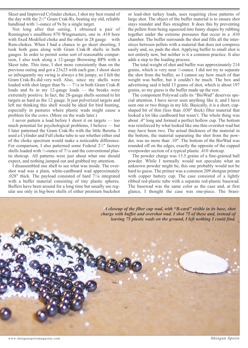Skeet and Improved Cylinder chokes, I shot my best round of the day with the  $2\frac{1}{2}$ " Gram Crak-Rs, beating my old, reliable handload with <sup>1</sup>⁄2-ounce of 9s by a single target.

Not long after that outing, I obtained a pair of Remington's smallbore 870 Wingmasters, one in .410 bore with fixed Modified choke and the other in 28 gauge with Rem-chokes. When I had a chance to go skeet shooting, I took both guns along with Gram Crak-R shells in both gauges. In order to permit some sort of reasonable comparison, I also took along a 12-gauge Browning BPS with a Skeet tube. This time, I shot more consistently than on the previous outing and got a 23x25 with each gun. I shoot skeet so infrequently my swing is always a bit jumpy, so I felt the Gram Crak-Rs did very well. Also, since my shells were loaded with shot larger than 9s — 7½ in both Gram Crak-R loads and 8s in my 12-gauge loads — the breaks were extremely positive. In fact, the 28-gauge shells seemed to hit targets as hard as the 12 gauge. It just pulverized targets and left me thinking this shell would be ideal for bird hunting, especially in pastures where plastic wads might cause a problem for the cows. (More on the wads later.)

I never pattern a load before I shoot it on targets — too much potential for psychological problems, I believe — but I later patterned the Gram Crak-Rs with the little Beretta. I used a Cylinder and Full choke tube to see whether either end of the choke spectrum would make a noticeable difference. For comparison, I also patterned some Federal 21/2" factory shells loaded with  $\frac{1}{2}$ -ounce of 7 $\frac{1}{2}$ s and the conventional plastic shotcup. All patterns were just about what one should expect, and nothing jumped out and grabbed my attention.

I disassembled one shell to see what was inside. The overshot wad was a plain, white-cardboard wad approximately .028" thick. The payload consisted of hard 7<sup>1</sup> ∕2s integrated with a buffer material consisting of tiny plastic spheres. Buffers have been around for a long time but usually see regular use only in big-bore shells of either premium buckshot or lead-shot turkey loads, uses requiring close patterns of large shot. The object of the buffer material is to ensure shot stays rounder and flies straighter. It does this by preventing the pellets from being squeezed into funny shapes by rubbing together under the extreme pressures that occur in a .410 chamber. The buffer surrounds the shot and fills all the interstices between pellets with a material that does not compress easily and, so, pads the shot. Applying buffer to small shot is not entirely new, but neither is it a common practice. It also adds a step to the loading process.

The total weight of shot and buffer was approximately 214 grains, which is very near ½-ounce. I did not try to separate the shot from the buffer, so I cannot say how much of that weight was buffer, but it couldn't be much. The box and advertising said it held 13 grams of shot, which is about 197 grains, so my guess is the buffer made up the rest.

The component Polywad calls its "BioWad" deserves special attention. I have never seen anything like it, and I have seen one or two things in my life. Basically, it is a short, cupshaped bit of thin (less than .030" thick) fiber material that looked a lot like cardboard but wasn't. The whole thing was about .4" long and formed a perfect hollow cup. The bottom was reinforced by what looked like one thin overshot wad but may have been two. The actual thickness of the material in the bottom, the material separating the shot from the powder, was no more than .10". The bottom of the BioWad was rounded off on the edges, exactly the opposite of the cupped overpowder section of a typical plastic .410 shotcup.

The powder charge was 13.5 grains of a fine-grained ball powder. While I normally would not speculate what an unknown powder might be, this one probably would not be hard to guess. The primer was a common 209 shotgun primer with copper battery cup. The case consisted of a lightly ribbed red-plastic tube with a separate red-plastic basewad. The basewad was the same color as the case and, at first glance, I thought the case was one-piece. The brass-